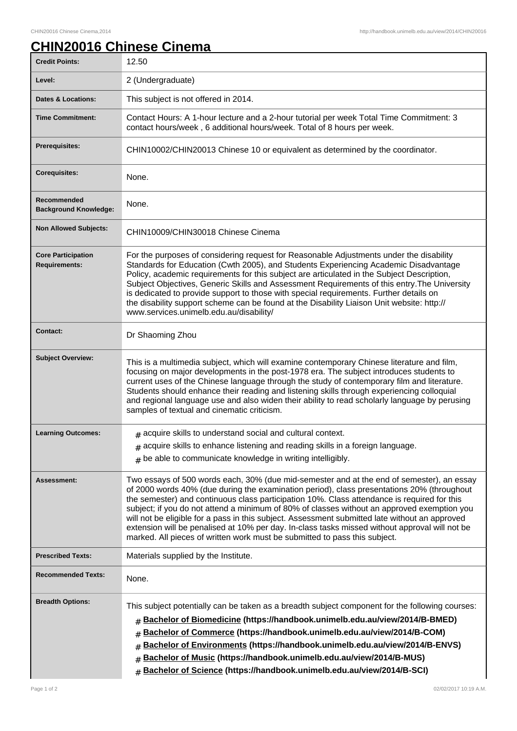1

## **CHIN20016 Chinese Cinema**

| <b>Credit Points:</b>                             | 12.50                                                                                                                                                                                                                                                                                                                                                                                                                                                                                                                                                                                                                                                                   |
|---------------------------------------------------|-------------------------------------------------------------------------------------------------------------------------------------------------------------------------------------------------------------------------------------------------------------------------------------------------------------------------------------------------------------------------------------------------------------------------------------------------------------------------------------------------------------------------------------------------------------------------------------------------------------------------------------------------------------------------|
| Level:                                            | 2 (Undergraduate)                                                                                                                                                                                                                                                                                                                                                                                                                                                                                                                                                                                                                                                       |
| <b>Dates &amp; Locations:</b>                     | This subject is not offered in 2014.                                                                                                                                                                                                                                                                                                                                                                                                                                                                                                                                                                                                                                    |
| <b>Time Commitment:</b>                           | Contact Hours: A 1-hour lecture and a 2-hour tutorial per week Total Time Commitment: 3<br>contact hours/week, 6 additional hours/week. Total of 8 hours per week.                                                                                                                                                                                                                                                                                                                                                                                                                                                                                                      |
| <b>Prerequisites:</b>                             | CHIN10002/CHIN20013 Chinese 10 or equivalent as determined by the coordinator.                                                                                                                                                                                                                                                                                                                                                                                                                                                                                                                                                                                          |
| <b>Corequisites:</b>                              | None.                                                                                                                                                                                                                                                                                                                                                                                                                                                                                                                                                                                                                                                                   |
| Recommended<br><b>Background Knowledge:</b>       | None.                                                                                                                                                                                                                                                                                                                                                                                                                                                                                                                                                                                                                                                                   |
| <b>Non Allowed Subjects:</b>                      | CHIN10009/CHIN30018 Chinese Cinema                                                                                                                                                                                                                                                                                                                                                                                                                                                                                                                                                                                                                                      |
| <b>Core Participation</b><br><b>Requirements:</b> | For the purposes of considering request for Reasonable Adjustments under the disability<br>Standards for Education (Cwth 2005), and Students Experiencing Academic Disadvantage<br>Policy, academic requirements for this subject are articulated in the Subject Description,<br>Subject Objectives, Generic Skills and Assessment Requirements of this entry. The University<br>is dedicated to provide support to those with special requirements. Further details on<br>the disability support scheme can be found at the Disability Liaison Unit website: http://<br>www.services.unimelb.edu.au/disability/                                                        |
| <b>Contact:</b>                                   | Dr Shaoming Zhou                                                                                                                                                                                                                                                                                                                                                                                                                                                                                                                                                                                                                                                        |
| <b>Subject Overview:</b>                          | This is a multimedia subject, which will examine contemporary Chinese literature and film,<br>focusing on major developments in the post-1978 era. The subject introduces students to<br>current uses of the Chinese language through the study of contemporary film and literature.<br>Students should enhance their reading and listening skills through experiencing colloquial<br>and regional language use and also widen their ability to read scholarly language by perusing<br>samples of textual and cinematic criticism.                                                                                                                                      |
| <b>Learning Outcomes:</b>                         | $#$ acquire skills to understand social and cultural context.                                                                                                                                                                                                                                                                                                                                                                                                                                                                                                                                                                                                           |
|                                                   | $*$ acquire skills to enhance listening and reading skills in a foreign language.                                                                                                                                                                                                                                                                                                                                                                                                                                                                                                                                                                                       |
|                                                   | $#$ be able to communicate knowledge in writing intelligibly.                                                                                                                                                                                                                                                                                                                                                                                                                                                                                                                                                                                                           |
| Assessment:                                       | Two essays of 500 words each, 30% (due mid-semester and at the end of semester), an essay<br>of 2000 words 40% (due during the examination period), class presentations 20% (throughout<br>the semester) and continuous class participation 10%. Class attendance is required for this<br>subject; if you do not attend a minimum of 80% of classes without an approved exemption you<br>will not be eligible for a pass in this subject. Assessment submitted late without an approved<br>extension will be penalised at 10% per day. In-class tasks missed without approval will not be<br>marked. All pieces of written work must be submitted to pass this subject. |
| <b>Prescribed Texts:</b>                          | Materials supplied by the Institute.                                                                                                                                                                                                                                                                                                                                                                                                                                                                                                                                                                                                                                    |
| <b>Recommended Texts:</b>                         | None.                                                                                                                                                                                                                                                                                                                                                                                                                                                                                                                                                                                                                                                                   |
| <b>Breadth Options:</b>                           | This subject potentially can be taken as a breadth subject component for the following courses:<br>Bachelor of Biomedicine (https://handbook.unimelb.edu.au/view/2014/B-BMED)<br>#<br>Bachelor of Commerce (https://handbook.unimelb.edu.au/view/2014/B-COM)<br>#<br>Bachelor of Environments (https://handbook.unimelb.edu.au/view/2014/B-ENVS)<br>#<br>Bachelor of Music (https://handbook.unimelb.edu.au/view/2014/B-MUS)<br>#<br>Bachelor of Science (https://handbook.unimelb.edu.au/view/2014/B-SCI)<br>#                                                                                                                                                         |